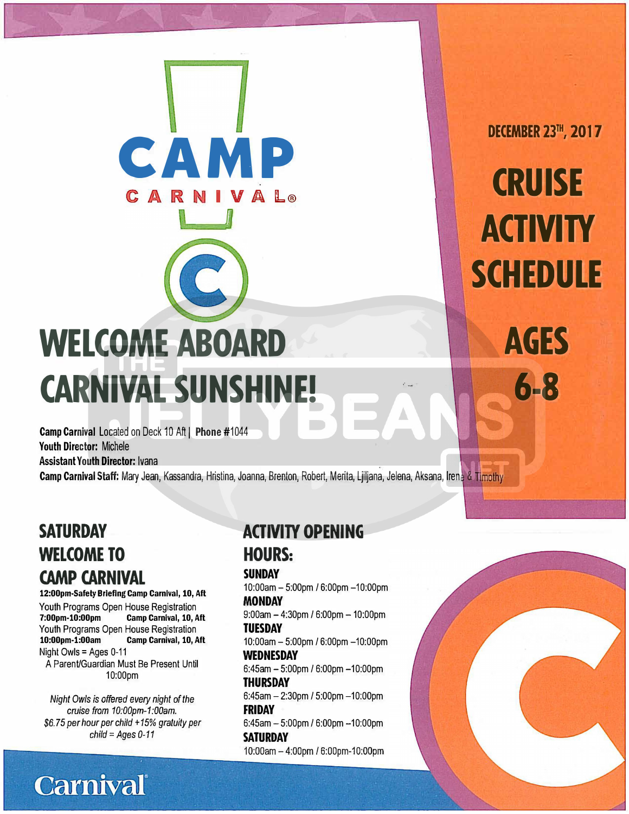# **WELCOME ABOARD CARNIVAL SUNSHINE!**

**CAMP** 

0 VJ A ll.@

**V**<br>J

Camp Carnival Located on Deck 10 Aft | Phone #1044 Youth Director: Michele Assistant Youth Director: Ivana

Camp Carnival Staff: Mary Jean, Kassandra, Hristina, Joanna, Brenton, Robert, Merita, Ljiljana, Jelena, Aksana, Irene & Timothy

# **SATURDAY WELCOME TO CAMP CARNIVAL**

**12:00pm-Safety Briefing Camp Carnival, 10, Aft**  Youth Programs Open House Registration<br>7:00pm-10:00pm Camp Carnival, 10, A Camp Carnival, 10, Aft Youth Programs Open House Registration<br>10:00pm-1:00am Camp Carnival, 10, A **Camp Carnival, 10, Aft** Night Owls = Ages 0-11 A Parent/Guardian Must Be Present Until 10:00pm

*Night Owls is offered every night of the cruise from 1 O:OOpm-1 :OOam. \$6. 75 per hour per child* + *15% gratuity per child* = *Ages 0-11* 

**Carnival** 

# **ACTIVITY OPENING**

**HOURS:** 

**SUNDAY** 

10:00am- 5:00pm / 6:00pm-10:00pm **MONDAY** 

.. \_

Δ

 $9:00$ am  $-4:30$ pm /  $6:00$ pm  $-10:00$ pm **TUESDAY**  10:00am - 5:00pm / 6:00pm - 10:00pm

**WEDNESDAY** 

6:45am - 5:00pm / 6:00pm -10:00pm **THURSDAY** 

6:45am  $-$  2:30pm / 5:00pm  $-$ 10:00pm **FRIDAY** 

6:45am - 5:00pm / 6:00pm -10:00pm **SATURDAY**<br>10:00am - 4:00pm / 6:00pm-10:00pm

**DECEMBER 23TH, 2017** 

**CRUISE** 

**ACTIVITY** 

**SCHEDULE** 

**AGES** 

**6-8**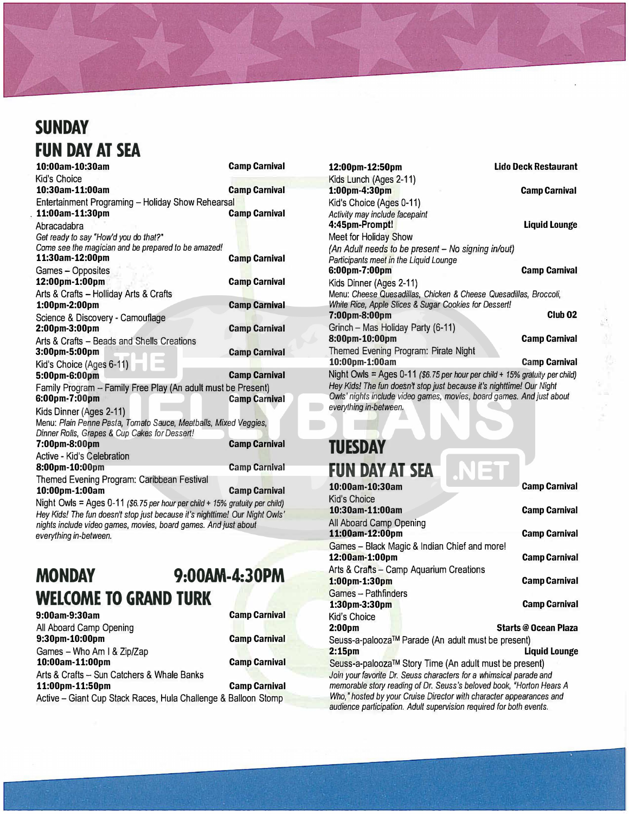# **SUNDAY FUN DAY AT SEA**

**10:00am-10:30am Camp Carnival**  Kid's Choice **10:30am-11:00am Camp Carnival**  Entertainment Programing - Holiday Show Rehearsal<br>11:00am-11:30pm **. 11:00am-11:30pm Camp Carnival**  Abracadabra *Get ready to say "How'd you do that?"*  Come see *the magician and be prepared to be amazed!*  **11:30am-12:00pm Camp Carnival**  Games - Opposites **12:00pm-1:00pm Camp Carnival**  Arts **&** Crafts - Holliday Arts **&** Crafts **1:00pm-2:00pm Camp Carnival**  Science & Discovery - Camouflage **2:00pm-3:00pm Camp Carnival**  Arts & Crafts - Beads and Shells Creations **3:00pm-5:00pm Camp Carnival**  Kid's Choice (Ages 6-11) **5:00pm-6:00pm Camp Camp Carnival** Family Program - Family Free Play (An adult must be Present)<br>6:00pm-7:00pm 6:00pm-7:00pm Kids Dinner (Ages 2-11) Menu: *Plain Penne Pasta, Tomato Sauce, Meatballs, Mixed Veggies, Dinner Rolls, Grapes* & *Cup Cakes for Dessert!*  **7:00pm-8:00pm Camp Carnival** Active - Kid's Celebration **8:00pm-10:00pm Camp Camp Camp Camival** Themed Evening Program: Caribbean Festival **10:00pm-1:00am Camp Carnival** 

Night Owls = Ages 0-11 *(\$6. 75 per hour per child+ 15% gratuity per child) Hey Kids! The fun doesn't stop just because it's nighttime! Our Night Owls' nights include video games, movies, board games. And just about everything in-between.* 

# **MONDAY 9:00AM-4:30PM WELCOME TO GRAND TURK**

| 9:00am-9:30am                                                  | <b>Camp Carnival</b> |
|----------------------------------------------------------------|----------------------|
| All Aboard Camp Opening                                        |                      |
| 9:30pm-10:00pm                                                 | <b>Camp Carnival</b> |
| Games - Who Am I & Zip/Zap                                     |                      |
| 10:00am-11:00pm                                                | <b>Camp Carnival</b> |
| Arts & Crafts - Sun Catchers & Whale Banks                     |                      |
| 11:00pm-11:50pm                                                | <b>Camp Carnival</b> |
| Active - Giant Cup Stack Races, Hula Challenge & Balloon Stomp |                      |

Giant Cup Stack Races, Hula Challenge & Balloon

**12:00pm-12:SOpm Lido Deck Restaurant**  Kids Lunch (Ages 2-11) **1:00pm-4:30pm Camp Carnival**  Kid's Choice (Ages 0-11) *Activity may include facepaint*  **4:45pm-Prompt! Liquid Lounge**  Meet for Holiday Show *(An Adult needs to be present - No signing in/out) Participants meet in the Liquid Lounge*  **6:00pm-7:00pm Camp Carnival**  Kids Dinner (Ages 2-11) Menu: *Cheese Quesadillas, Chicken* & *Cheese Quesadillas, Broccoli, White Rice, Apple Slices* & *Sugar Cookies for Dessert!*  **7:00pm-8:00pm Club 02**  Grinch - Mas Holiday Party (6-11) **8:00pm-10:00pm Camp Carnival**  Themed Evening Program: Pirate Night **10:00pm-1:00am Camp Carnival**  Night Owls = Ages 0-11 *(\$6. 75 per hour per child+ 15% gratuity per child) Hey Kids! The fun doesn·Y stop just because it's nighttime! Our Night Owls' nights include video games, movies, board games. And just about everything in-between.* 

#### **TUESDAY FUN DAY AT SEA**

| 10:00am-10:30am                                                      | <b>Camp Carnival</b>        |  |  |
|----------------------------------------------------------------------|-----------------------------|--|--|
| Kid's Choice                                                         |                             |  |  |
| 10:30am-11:00am                                                      | <b>Camp Carnival</b>        |  |  |
| All Aboard Camp Opening                                              |                             |  |  |
| 11:00am-12:00pm                                                      | <b>Camp Carnival</b>        |  |  |
| Games - Black Magic & Indian Chief and more!                         |                             |  |  |
| 12:00am-1:00pm                                                       | <b>Camp Carnival</b>        |  |  |
| Arts & Crafts - Camp Aquarium Creations                              |                             |  |  |
| $1:00$ pm $-1:30$ pm                                                 | <b>Camp Carnival</b>        |  |  |
| Games - Pathfinders                                                  |                             |  |  |
| $1:30$ pm- $3:30$ pm                                                 | <b>Camp Carnival</b>        |  |  |
| Kid's Choice                                                         |                             |  |  |
| 2:00pm                                                               | <b>Starts @ Ocean Plaza</b> |  |  |
| Seuss-a-palooza™ Parade (An adult must be present)                   |                             |  |  |
| 2:15 <sub>pm</sub>                                                   | Liquid Lounge               |  |  |
| Seuss-a-palooza™ Story Time (An adult must be present)               |                             |  |  |
| Join your favorite Dr. Seuss characters for a whimsical parade and   |                             |  |  |
| memorable story reading of Dr. Seuss's beloved book, "Horton Hears A |                             |  |  |
| Who," hosted by your Cruise Director with character appearances and  |                             |  |  |
| audience participation. Adult supervision required for both events.  |                             |  |  |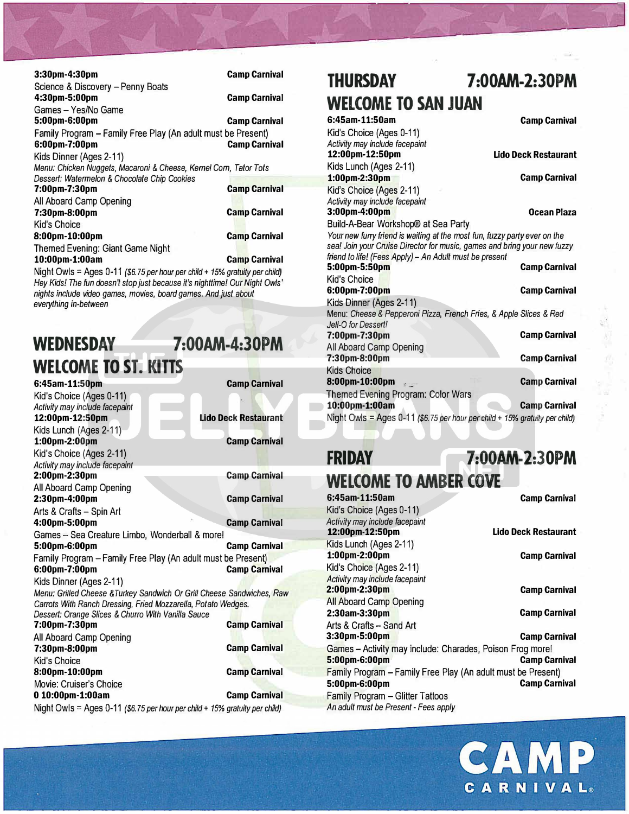| 3:30pm-4:30pm                                                     | <b>Camp Carnival</b> |
|-------------------------------------------------------------------|----------------------|
| Science & Discovery - Penny Boats                                 |                      |
| 4:30pm-5:00pm                                                     | <b>Camp Carnival</b> |
| Games - Yes/No Game                                               |                      |
| 5:00pm-6:00pm                                                     | <b>Camp Carnival</b> |
| Family Program - Family Free Play (An adult must be Present)      |                      |
| 6:00pm-7:00pm                                                     | <b>Camp Carnival</b> |
| Kids Dinner (Ages 2-11)                                           |                      |
| Menu: Chicken Nuggets, Macaroni & Cheese, Kernel Corn, Tator Tots |                      |
| Dessert: Watermelon & Chocolate Chip Cookies                      |                      |
| 7:00pm-7:30pm                                                     | <b>Camp Carnival</b> |
| All Aboard Camp Opening                                           |                      |
| 7:30pm-8:00pm                                                     | <b>Camp Carnival</b> |
| Kid's Choice                                                      |                      |
| 8:00pm-10:00pm                                                    | <b>Camp Carnival</b> |
| Themed Evening: Giant Game Night                                  |                      |
| 10:00pm-1:00am                                                    | <b>Camp Carnival</b> |
|                                                                   |                      |

 $\mathbb{Z}$ 

Night Owls= Ages 0-11 *(\$6.* **75** *per hour per child+ 15% gratuity per child) Hey Kids! The fun doesn't stop just because it's nighttime! Our Night Owls' nights include video games, movies, board games. And just about everything in-between* 

# **WEDNESDAY 7:00AM-4:30PM WELCOME TO ST. KITTS**

**6:45am-11:50pm Camp Carnival** Kid's Choice (Ages 0-11) *Activity may include facepaint*  **Lido Deck Restaurant** Kids Lunch (Ages 2-11) **1:00pm-2:00pm Camp Carnival** Kid's Choice (Ages 2-11) *Activity may include facepainl*  **2:00pm-2:30pm Camp Carnival**  All Aboard Camp Opening **2:lOpm-4:00pm Camp Carnival**  Arts & Crafts - Spin Art **4:00pm-5:00pm Camp Carnival**  Games - Sea Creature Limbo, Wonderball & more! **5:00pm-6:00pm Camp Carnival**  Family Program – Family Free Play (An adult must be Present)<br>6:00pm-7:00pm 6:00pm-7:00pm Kids Dinner (Ages 2-11) *Menu: Grilled Cheese &Turkey Sandwich Or Grill Cheese Sandwiches, Raw Carrots With Ranch Dressing, Fried Mozzarella, Potato Wedges. Dessert: Orange Slices* & *Churro With Vanilla Sauce*  **7:00pm-7:30pm Camp Carnival**  All Aboard Camp Opening **7:30pm-8:00pm Camp Camp Carnival** Kid's Choice **8:00pm-10:00pm Camp Carnival**  Movie: Cruiser's Choice **O 10:00pm-1:00am Camp Carnival**  Night Owls= Ages 0-11 *(\$6.75 per hour per child+ 15% gratuity per child)* 

# **THURSDAY 7 :00AM-2:30PM WELCOME TO SAN JUAN**<br>6:45am-11:50am

 $27.45$ •

J

,-,

**Camp Carnival** Kid's Choice (Ages 0-11) *Activity may include facepaint*  **Lido Deck Restaurant** Kids Lunch (Ages 2-11) **1:00pm-2:30pm Camp Camp Camp Camival** Kid's Choice (Ages 2-11) *Activity* may *include facepaint*  **3:00pm-4:00pm Ocean Plaza**  Build-A-Bear Workshop® at Sea Party *Your new furry friend is waiting at the most fun, fuzzy party ever on the sea! Join your Cruise Director for music, games and bring your new fuzzy friend to life! (Fees Apply) - An Adult must be present*  **5:00pm-5:50pm** Camp Camp Carnival Kid's Choice **6:00pm-7:00pm Camp Carnival**  Kids Dinner (Ages 2-11) Menu: *Cheese* & *Pepperoni Pizza, French Fries,* & *Apple Slices* & *Red Je/1-0 for Dessert!*  **7:00pm-7:30pm Camp Carnival**  All Aboard Camp Opening<br>7:30pm-8:00pm **Camp Carnival** Kids Choice **8:00pm-10:00pm Camp Camp Carnival** Themed Evening Program: Color Wars **10:00pm-1:00am Camp Camp Camp Camival** Night Owls = Ages 0-11 *(\$6.75 per hour per child + 15% gratuity per child)* 

### **FRIDAY 7:00AM-2:30PM**

# **WELCOME TO AMBER COVE**

**6:45am-11:50am Camp Carnival**  Kid's Choice (Ages 0-11) *Activity* may *include facepaint*  **Lido Deck Restaurant** Kids Lunch (Ages 2-11) **1:00pm-2:00pm Camp Carnival**  Kid's Choice (Ages 2-11) *Activity may include facepaint*  **2:00pm-2:30pm Camp Camp Carnival** All Aboard Camp Opening **2:30am-3:30pm Camp Carnival**  Arts & Crafts - Sand Art **3:30pm-5:00pm Camp Carnival**  Games - Activity may include: Charades, Poison Frog more!<br>5:00pm-6:00pm **5:00pm-6:00pm** Family Program – Family Free Play (An adult must be Present)<br>5:00pm-6:00pm **5:00pm-6:00pm** Family Program - Glitter Tattoos *An adult must be Present - Fees apply*